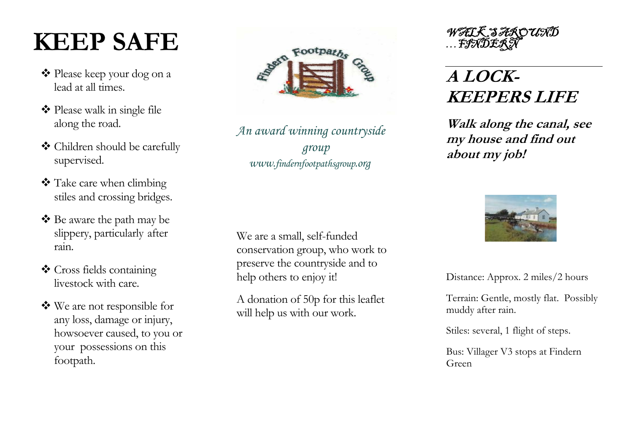# **KEEP SAFE**

- Please keep your dog on a lead at all times.
- ◆ Please walk in single file along the road.
- Children should be carefully supervised.
- \* Take care when climbing stiles and crossing bridges.
- Be aware the path may be slippery, particularly after rain.
- Cross fields containing livestock with care.
- We are not responsible for any loss, damage or injury, howsoever caused, to you or your possessions on this footpath.



*An award winning countryside group www.findernfootpathsgroup.org*

We are a small, self-funded conservation group, who work to preserve the countryside and to help others to enjoy it!

A donation of 50p for this leaflet will help us with our work.

WALK SAROUND<br>…FINDERN

## **A LOCK-KEEPERS LIFE**

**Walk along the canal, see my house and find out about my job!** 



Distance: Approx. 2 miles/2 hours

Terrain: G entle, mostly flat. Possibly muddy after rain.

Stiles: s everal, 1 flight of steps.

Bus: Villager V3 stops at Findern Green